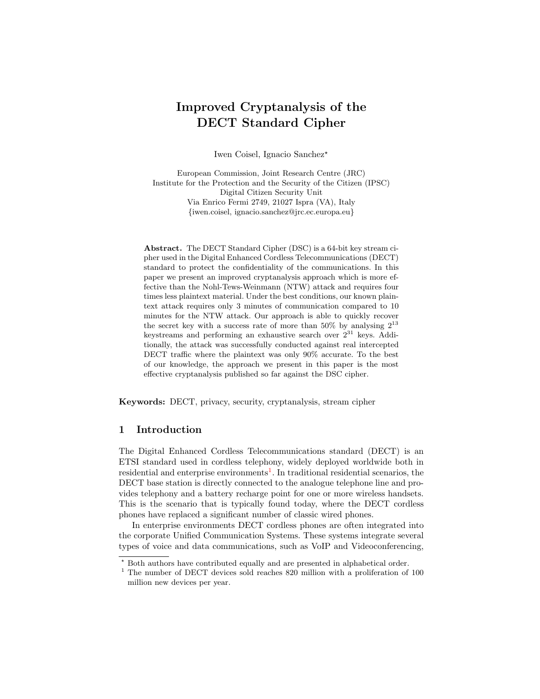# Improved Cryptanalysis of the DECT Standard Cipher

Iwen Coisel, Ignacio Sanchez?

European Commission, Joint Research Centre (JRC) Institute for the Protection and the Security of the Citizen (IPSC) Digital Citizen Security Unit Via Enrico Fermi 2749, 21027 Ispra (VA), Italy {iwen.coisel, ignacio.sanchez@jrc.ec.europa.eu}

Abstract. The DECT Standard Cipher (DSC) is a 64-bit key stream cipher used in the Digital Enhanced Cordless Telecommunications (DECT) standard to protect the confidentiality of the communications. In this paper we present an improved cryptanalysis approach which is more effective than the Nohl-Tews-Weinmann (NTW) attack and requires four times less plaintext material. Under the best conditions, our known plaintext attack requires only 3 minutes of communication compared to 10 minutes for the NTW attack. Our approach is able to quickly recover the secret key with a success rate of more than 50% by analysing  $2^{13}$ keystreams and performing an exhaustive search over  $2^{31}$  keys. Additionally, the attack was successfully conducted against real intercepted DECT traffic where the plaintext was only 90% accurate. To the best of our knowledge, the approach we present in this paper is the most effective cryptanalysis published so far against the DSC cipher.

Keywords: DECT, privacy, security, cryptanalysis, stream cipher

# 1 Introduction

The Digital Enhanced Cordless Telecommunications standard (DECT) is an ETSI standard used in cordless telephony, widely deployed worldwide both in residential and enterprise environments<sup>[1](#page-0-0)</sup>. In traditional residential scenarios, the DECT base station is directly connected to the analogue telephone line and provides telephony and a battery recharge point for one or more wireless handsets. This is the scenario that is typically found today, where the DECT cordless phones have replaced a significant number of classic wired phones.

In enterprise environments DECT cordless phones are often integrated into the corporate Unified Communication Systems. These systems integrate several types of voice and data communications, such as VoIP and Videoconferencing,

<sup>?</sup> Both authors have contributed equally and are presented in alphabetical order.

<span id="page-0-0"></span> $1$  The number of DECT devices sold reaches 820 million with a proliferation of 100 million new devices per year.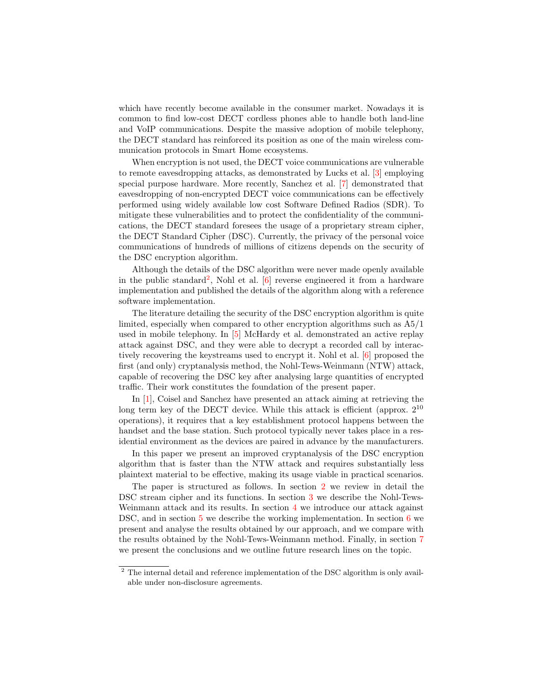which have recently become available in the consumer market. Nowadays it is common to find low-cost DECT cordless phones able to handle both land-line and VoIP communications. Despite the massive adoption of mobile telephony, the DECT standard has reinforced its position as one of the main wireless communication protocols in Smart Home ecosystems.

When encryption is not used, the DECT voice communications are vulnerable to remote eavesdropping attacks, as demonstrated by Lucks et al. [\[3\]](#page-17-0) employing special purpose hardware. More recently, Sanchez et al. [\[7\]](#page-17-1) demonstrated that eavesdropping of non-encrypted DECT voice communications can be effectively performed using widely available low cost Software Defined Radios (SDR). To mitigate these vulnerabilities and to protect the confidentiality of the communications, the DECT standard foresees the usage of a proprietary stream cipher, the DECT Standard Cipher (DSC). Currently, the privacy of the personal voice communications of hundreds of millions of citizens depends on the security of the DSC encryption algorithm.

Although the details of the DSC algorithm were never made openly available in the public standard<sup>[2](#page-1-0)</sup>, Nohl et al.  $[6]$  reverse engineered it from a hardware implementation and published the details of the algorithm along with a reference software implementation.

The literature detailing the security of the DSC encryption algorithm is quite limited, especially when compared to other encryption algorithms such as A5/1 used in mobile telephony. In [\[5\]](#page-17-3) McHardy et al. demonstrated an active replay attack against DSC, and they were able to decrypt a recorded call by interactively recovering the keystreams used to encrypt it. Nohl et al. [\[6\]](#page-17-2) proposed the first (and only) cryptanalysis method, the Nohl-Tews-Weinmann (NTW) attack, capable of recovering the DSC key after analysing large quantities of encrypted traffic. Their work constitutes the foundation of the present paper.

In [\[1\]](#page-17-4), Coisel and Sanchez have presented an attack aiming at retrieving the long term key of the DECT device. While this attack is efficient (approx.  $2^{10}$ ) operations), it requires that a key establishment protocol happens between the handset and the base station. Such protocol typically never takes place in a residential environment as the devices are paired in advance by the manufacturers.

In this paper we present an improved cryptanalysis of the DSC encryption algorithm that is faster than the NTW attack and requires substantially less plaintext material to be effective, making its usage viable in practical scenarios.

The paper is structured as follows. In section [2](#page-2-0) we review in detail the DSC stream cipher and its functions. In section [3](#page-4-0) we describe the Nohl-Tews-Weinmann attack and its results. In section [4](#page-7-0) we introduce our attack against DSC, and in section [5](#page-9-0) we describe the working implementation. In section [6](#page-12-0) we present and analyse the results obtained by our approach, and we compare with the results obtained by the Nohl-Tews-Weinmann method. Finally, in section [7](#page-16-0) we present the conclusions and we outline future research lines on the topic.

<span id="page-1-0"></span><sup>&</sup>lt;sup>2</sup> The internal detail and reference implementation of the DSC algorithm is only available under non-disclosure agreements.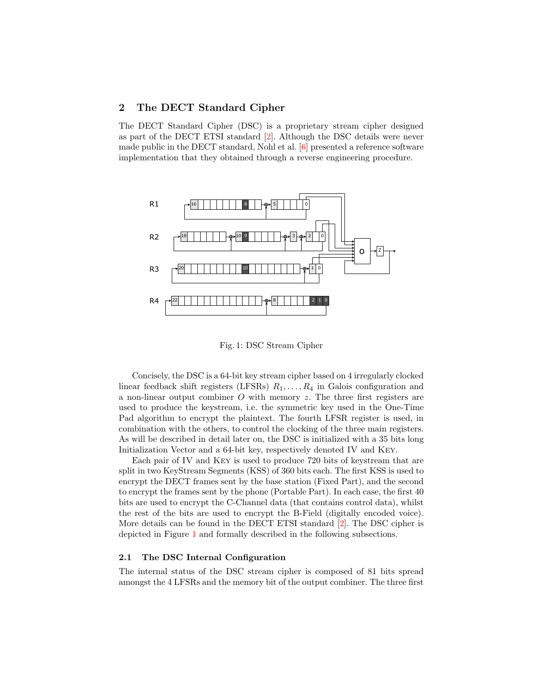# <span id="page-2-0"></span>2 The DECT Standard Cipher

The DECT Standard Cipher (DSC) is a proprietary stream cipher designed as part of the DECT ETSI standard [\[2\]](#page-17-5). Although the DSC details were never made public in the DECT standard, Nohl et al. [\[6\]](#page-17-2) presented a reference software implementation that they obtained through a reverse engineering procedure.

<span id="page-2-1"></span>

Fig. 1: DSC Stream Cipher

Concisely, the DSC is a 64-bit key stream cipher based on 4 irregularly clocked linear feedback shift registers (LFSRs)  $R_1, \ldots, R_4$  in Galois configuration and a non-linear output combiner  $O$  with memory  $z$ . The three first registers are used to produce the keystream, i.e. the symmetric key used in the One-Time Pad algorithm to encrypt the plaintext. The fourth LFSR register is used, in combination with the others, to control the clocking of the three main registers. As will be described in detail later on, the DSC is initialized with a 35 bits long Initialization Vector and a 64-bit key, respectively denoted IV and Key.

Each pair of IV and Key is used to produce 720 bits of keystream that are split in two KeyStream Segments (KSS) of 360 bits each. The first KSS is used to encrypt the DECT frames sent by the base station (Fixed Part), and the second to encrypt the frames sent by the phone (Portable Part). In each case, the first 40 bits are used to encrypt the C-Channel data (that contains control data), whilst the rest of the bits are used to encrypt the B-Field (digitally encoded voice). More details can be found in the DECT ETSI standard [\[2\]](#page-17-5). The DSC cipher is depicted in Figure [1](#page-2-1) and formally described in the following subsections.

### 2.1 The DSC Internal Configuration

The internal status of the DSC stream cipher is composed of 81 bits spread amongst the 4 LFSRs and the memory bit of the output combiner. The three first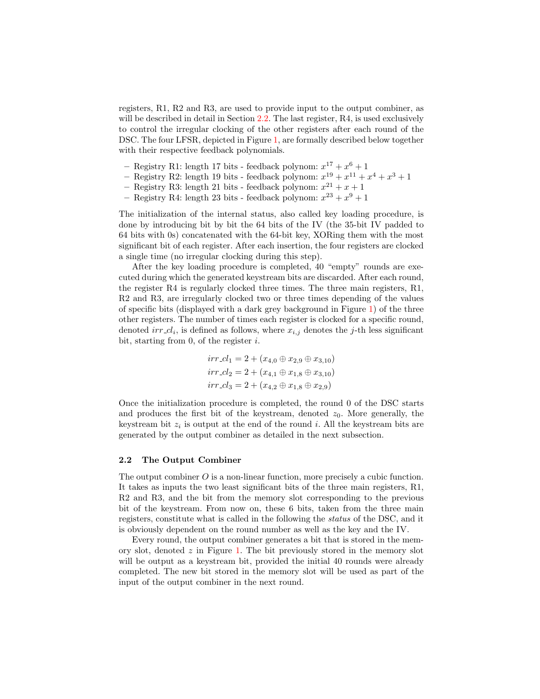registers, R1, R2 and R3, are used to provide input to the output combiner, as will be described in detail in Section [2.2.](#page-3-0) The last register, R4, is used exclusively to control the irregular clocking of the other registers after each round of the DSC. The four LFSR, depicted in Figure [1,](#page-2-1) are formally described below together with their respective feedback polynomials.

- Registry R1: length 17 bits feedback polynom:  $x^{17} + x^6 + 1$
- Registry R2: length 19 bits feedback polynom:  $x^{19} + x^{11} + x^4 + x^3 + 1$
- Registry R3: length 21 bits feedback polynom:  $x^{21} + x + 1$
- Registry R4: length 23 bits feedback polynom:  $x^{23} + x^9 + 1$

The initialization of the internal status, also called key loading procedure, is done by introducing bit by bit the 64 bits of the IV (the 35-bit IV padded to 64 bits with 0s) concatenated with the 64-bit key, XORing them with the most significant bit of each register. After each insertion, the four registers are clocked a single time (no irregular clocking during this step).

After the key loading procedure is completed, 40 "empty" rounds are executed during which the generated keystream bits are discarded. After each round, the register R4 is regularly clocked three times. The three main registers, R1, R2 and R3, are irregularly clocked two or three times depending of the values of specific bits (displayed with a dark grey background in Figure [1\)](#page-2-1) of the three other registers. The number of times each register is clocked for a specific round, denoted  $irr\_cl_i$ , is defined as follows, where  $x_{i,j}$  denotes the j-th less significant bit, starting from  $0$ , of the register  $i$ .

$$
irr_{-}cl_{1} = 2 + (x_{4,0} \oplus x_{2,9} \oplus x_{3,10})
$$
  

$$
irr_{-}cl_{2} = 2 + (x_{4,1} \oplus x_{1,8} \oplus x_{3,10})
$$
  

$$
irr_{-}cl_{3} = 2 + (x_{4,2} \oplus x_{1,8} \oplus x_{2,9})
$$

Once the initialization procedure is completed, the round 0 of the DSC starts and produces the first bit of the keystream, denoted  $z_0$ . More generally, the keystream bit  $z_i$  is output at the end of the round i. All the keystream bits are generated by the output combiner as detailed in the next subsection.

# <span id="page-3-0"></span>2.2 The Output Combiner

The output combiner  $O$  is a non-linear function, more precisely a cubic function. It takes as inputs the two least significant bits of the three main registers, R1, R2 and R3, and the bit from the memory slot corresponding to the previous bit of the keystream. From now on, these 6 bits, taken from the three main registers, constitute what is called in the following the status of the DSC, and it is obviously dependent on the round number as well as the key and the IV.

Every round, the output combiner generates a bit that is stored in the memory slot, denoted  $z$  in Figure [1.](#page-2-1) The bit previously stored in the memory slot will be output as a keystream bit, provided the initial 40 rounds were already completed. The new bit stored in the memory slot will be used as part of the input of the output combiner in the next round.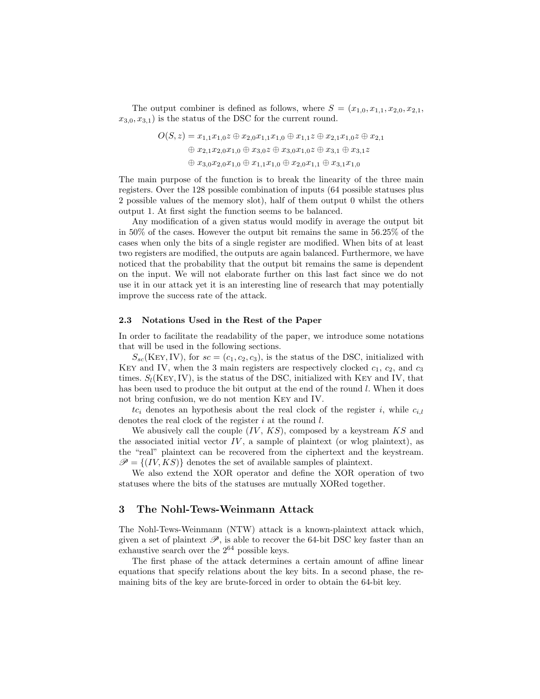The output combiner is defined as follows, where  $S = (x_{1,0}, x_{1,1}, x_{2,0}, x_{2,1},$  $x_{3,0}, x_{3,1}$  is the status of the DSC for the current round.

$$
O(S, z) = x_{1,1}x_{1,0}z \oplus x_{2,0}x_{1,1}x_{1,0} \oplus x_{1,1}z \oplus x_{2,1}x_{1,0}z \oplus x_{2,1}
$$
  
\n
$$
\oplus x_{2,1}x_{2,0}x_{1,0} \oplus x_{3,0}z \oplus x_{3,0}x_{1,0}z \oplus x_{3,1} \oplus x_{3,1}z
$$
  
\n
$$
\oplus x_{3,0}x_{2,0}x_{1,0} \oplus x_{1,1}x_{1,0} \oplus x_{2,0}x_{1,1} \oplus x_{3,1}x_{1,0}
$$

The main purpose of the function is to break the linearity of the three main registers. Over the 128 possible combination of inputs (64 possible statuses plus 2 possible values of the memory slot), half of them output 0 whilst the others output 1. At first sight the function seems to be balanced.

Any modification of a given status would modify in average the output bit in 50% of the cases. However the output bit remains the same in 56.25% of the cases when only the bits of a single register are modified. When bits of at least two registers are modified, the outputs are again balanced. Furthermore, we have noticed that the probability that the output bit remains the same is dependent on the input. We will not elaborate further on this last fact since we do not use it in our attack yet it is an interesting line of research that may potentially improve the success rate of the attack.

#### 2.3 Notations Used in the Rest of the Paper

In order to facilitate the readability of the paper, we introduce some notations that will be used in the following sections.

 $S_{sc}$ (KEY, IV), for  $sc = (c_1, c_2, c_3)$ , is the status of the DSC, initialized with KEY and IV, when the 3 main registers are respectively clocked  $c_1$ ,  $c_2$ , and  $c_3$ times.  $S_l(Ker, IV)$ , is the status of the DSC, initialized with KEY and IV, that has been used to produce the bit output at the end of the round l. When it does not bring confusion, we do not mention Key and IV.

 $tc_i$  denotes an hypothesis about the real clock of the register i, while  $c_{i,l}$ denotes the real clock of the register  $i$  at the round  $l$ .

We abusively call the couple  $(IV, KS)$ , composed by a keystream  $KS$  and the associated initial vector  $IV$ , a sample of plaintext (or wlog plaintext), as the "real" plaintext can be recovered from the ciphertext and the keystream.  $\mathscr{P} = \{(IV, KS)\}\$  denotes the set of available samples of plaintext.

We also extend the XOR operator and define the XOR operation of two statuses where the bits of the statuses are mutually XORed together.

# <span id="page-4-0"></span>3 The Nohl-Tews-Weinmann Attack

The Nohl-Tews-Weinmann (NTW) attack is a known-plaintext attack which, given a set of plaintext  $\mathscr{P}$ , is able to recover the 64-bit DSC key faster than an exhaustive search over the  $2^{64}$  possible keys.

The first phase of the attack determines a certain amount of affine linear equations that specify relations about the key bits. In a second phase, the remaining bits of the key are brute-forced in order to obtain the 64-bit key.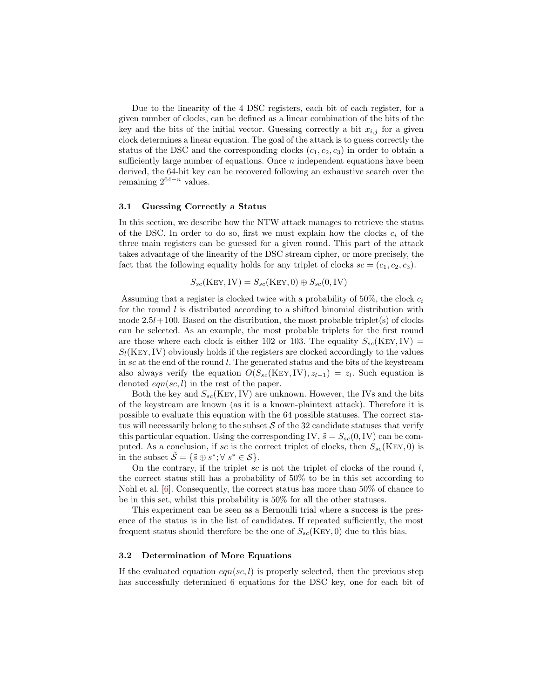Due to the linearity of the 4 DSC registers, each bit of each register, for a given number of clocks, can be defined as a linear combination of the bits of the key and the bits of the initial vector. Guessing correctly a bit  $x_{i,j}$  for a given clock determines a linear equation. The goal of the attack is to guess correctly the status of the DSC and the corresponding clocks  $(c_1, c_2, c_3)$  in order to obtain a sufficiently large number of equations. Once  $n$  independent equations have been derived, the 64-bit key can be recovered following an exhaustive search over the remaining  $2^{64-n}$  values.

#### 3.1 Guessing Correctly a Status

In this section, we describe how the NTW attack manages to retrieve the status of the DSC. In order to do so, first we must explain how the clocks  $c_i$  of the three main registers can be guessed for a given round. This part of the attack takes advantage of the linearity of the DSC stream cipher, or more precisely, the fact that the following equality holds for any triplet of clocks  $sc = (c_1, c_2, c_3)$ .

$$
S_{sc}(\text{Key}, \text{IV}) = S_{sc}(\text{Key}, 0) \oplus S_{sc}(0, \text{IV})
$$

Assuming that a register is clocked twice with a probability of 50%, the clock  $c_i$ for the round  $l$  is distributed according to a shifted binomial distribution with mode  $2.5l+100$ . Based on the distribution, the most probable triplet(s) of clocks can be selected. As an example, the most probable triplets for the first round are those where each clock is either 102 or 103. The equality  $S_{sc}(\text{Ker}, \text{IV})$  =  $S_l(K: Y)$  obviously holds if the registers are clocked accordingly to the values in  $\mathfrak{so}$  at the end of the round  $\mathfrak{l}$ . The generated status and the bits of the keystream also always verify the equation  $O(S_{sc}(K EY, IV), z_{l-1}) = z_l$ . Such equation is denoted  $eqn(sc, l)$  in the rest of the paper.

Both the key and  $S_{sc}$ (KEY, IV) are unknown. However, the IVs and the bits of the keystream are known (as it is a known-plaintext attack). Therefore it is possible to evaluate this equation with the 64 possible statuses. The correct status will necessarily belong to the subset  $S$  of the 32 candidate statuses that verify this particular equation. Using the corresponding IV,  $\tilde{s} = S_{sc}(0, \text{IV})$  can be computed. As a conclusion, if sc is the correct triplet of clocks, then  $S_{sc}(\text{KEV}, 0)$  is in the subset  $\tilde{S} = \{ \tilde{s} \oplus s^*; \forall s^* \in S \}.$ 

On the contrary, if the triplet sc is not the triplet of clocks of the round  $l$ , the correct status still has a probability of 50% to be in this set according to Nohl et al. [\[6\]](#page-17-2). Consequently, the correct status has more than 50% of chance to be in this set, whilst this probability is 50% for all the other statuses.

This experiment can be seen as a Bernoulli trial where a success is the presence of the status is in the list of candidates. If repeated sufficiently, the most frequent status should therefore be the one of  $S_{sc}(K EY, 0)$  due to this bias.

#### 3.2 Determination of More Equations

If the evaluated equation  $eqn(sc, l)$  is properly selected, then the previous step has successfully determined 6 equations for the DSC key, one for each bit of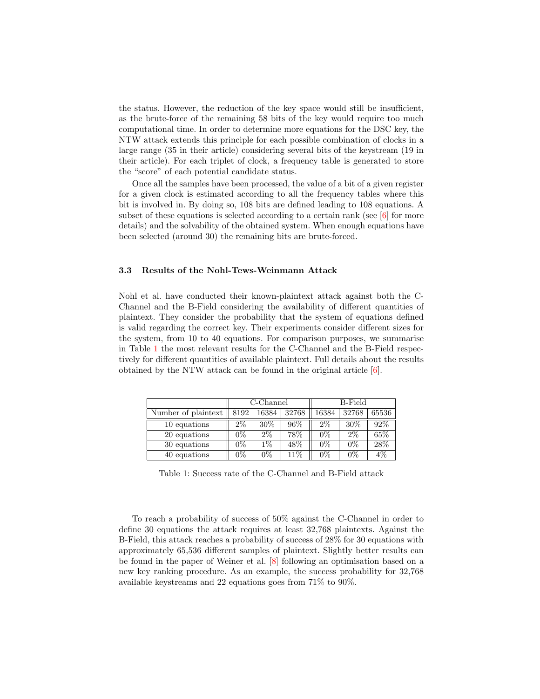the status. However, the reduction of the key space would still be insufficient, as the brute-force of the remaining 58 bits of the key would require too much computational time. In order to determine more equations for the DSC key, the NTW attack extends this principle for each possible combination of clocks in a large range (35 in their article) considering several bits of the keystream (19 in their article). For each triplet of clock, a frequency table is generated to store the "score" of each potential candidate status.

Once all the samples have been processed, the value of a bit of a given register for a given clock is estimated according to all the frequency tables where this bit is involved in. By doing so, 108 bits are defined leading to 108 equations. A subset of these equations is selected according to a certain rank (see  $[6]$  for more details) and the solvability of the obtained system. When enough equations have been selected (around 30) the remaining bits are brute-forced.

### 3.3 Results of the Nohl-Tews-Weinmann Attack

Nohl et al. have conducted their known-plaintext attack against both the C-Channel and the B-Field considering the availability of different quantities of plaintext. They consider the probability that the system of equations defined is valid regarding the correct key. Their experiments consider different sizes for the system, from 10 to 40 equations. For comparison purposes, we summarise in Table [1](#page-6-0) the most relevant results for the C-Channel and the B-Field respectively for different quantities of available plaintext. Full details about the results obtained by the NTW attack can be found in the original article  $[6]$ .

<span id="page-6-0"></span>

|                     |       | C-Channel |       | B-Field |        |       |  |
|---------------------|-------|-----------|-------|---------|--------|-------|--|
| Number of plaintext | 8192  | 16384     | 32768 | 16384   | 32768  | 65536 |  |
| 10 equations        | $2\%$ | $30\%$    | 96%   | $2\%$   | $30\%$ | 92%   |  |
| 20 equations        | $0\%$ | $2\%$     | 78%   | $0\%$   | $2\%$  | 65\%  |  |
| 30 equations        | $0\%$ | $1\%$     | 48\%  | $0\%$   | $0\%$  | 28%   |  |
| 40 equations        | $0\%$ | $0\%$     | 11%   | $0\%$   | $0\%$  | $4\%$ |  |

Table 1: Success rate of the C-Channel and B-Field attack

To reach a probability of success of 50% against the C-Channel in order to define 30 equations the attack requires at least 32,768 plaintexts. Against the B-Field, this attack reaches a probability of success of 28% for 30 equations with approximately 65,536 different samples of plaintext. Slightly better results can be found in the paper of Weiner et al. [\[8\]](#page-18-0) following an optimisation based on a new key ranking procedure. As an example, the success probability for 32,768 available keystreams and 22 equations goes from 71% to 90%.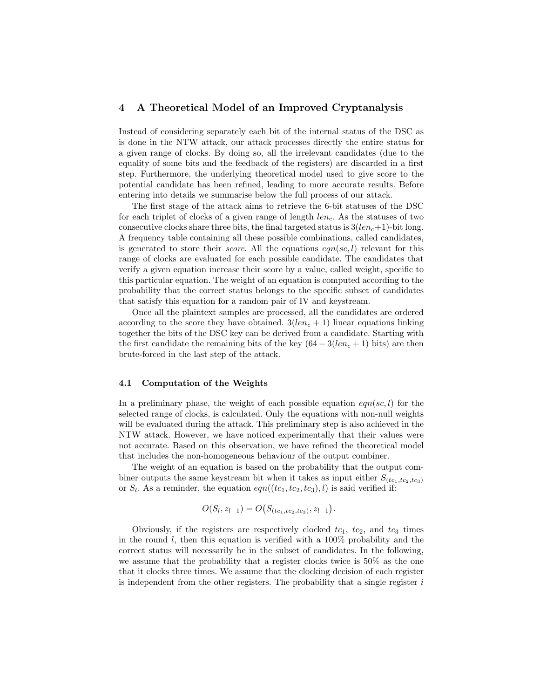# <span id="page-7-0"></span>4 A Theoretical Model of an Improved Cryptanalysis

Instead of considering separately each bit of the internal status of the DSC as is done in the NTW attack, our attack processes directly the entire status for a given range of clocks. By doing so, all the irrelevant candidates (due to the equality of some bits and the feedback of the registers) are discarded in a first step. Furthermore, the underlying theoretical model used to give score to the potential candidate has been refined, leading to more accurate results. Before entering into details we summarise below the full process of our attack.

The first stage of the attack aims to retrieve the 6-bit statuses of the DSC for each triplet of clocks of a given range of length  $len_c$ . As the statuses of two consecutive clocks share three bits, the final targeted status is  $3(len_c+1)$ -bit long. A frequency table containing all these possible combinations, called candidates, is generated to store their *score*. All the equations  $eqn(s, l)$  relevant for this range of clocks are evaluated for each possible candidate. The candidates that verify a given equation increase their score by a value, called weight, specific to this particular equation. The weight of an equation is computed according to the probability that the correct status belongs to the specific subset of candidates that satisfy this equation for a random pair of IV and keystream.

Once all the plaintext samples are processed, all the candidates are ordered according to the score they have obtained.  $3(len_c + 1)$  linear equations linking together the bits of the DSC key can be derived from a candidate. Starting with the first candidate the remaining bits of the key  $(64 - 3(len_c + 1)$  bits) are then brute-forced in the last step of the attack.

### 4.1 Computation of the Weights

In a preliminary phase, the weight of each possible equation  $eqn(s, l)$  for the selected range of clocks, is calculated. Only the equations with non-null weights will be evaluated during the attack. This preliminary step is also achieved in the NTW attack. However, we have noticed experimentally that their values were not accurate. Based on this observation, we have refined the theoretical model that includes the non-homogeneous behaviour of the output combiner.

The weight of an equation is based on the probability that the output combiner outputs the same keystream bit when it takes as input either  $S_{(tc_1,tc_2,tc_3)}$ or  $S_l$ . As a reminder, the equation  $eqn((tc_1, tc_2, tc_3), l)$  is said verified if:

$$
O(S_l, z_{l-1}) = O(S_{(tc_1, tc_2, tc_3)}, z_{l-1}).
$$

Obviously, if the registers are respectively clocked  $tc_1$ ,  $tc_2$ , and  $tc_3$  times in the round l, then this equation is verified with a  $100\%$  probability and the correct status will necessarily be in the subset of candidates. In the following, we assume that the probability that a register clocks twice is 50% as the one that it clocks three times. We assume that the clocking decision of each register is independent from the other registers. The probability that a single register  $i$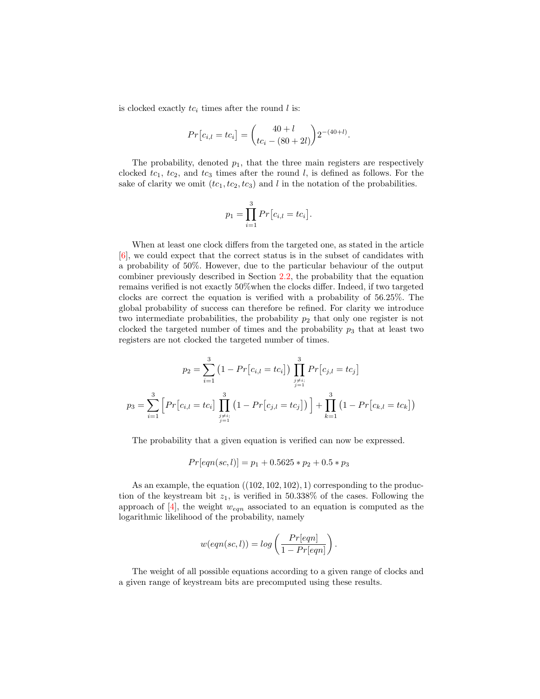is clocked exactly  $tc_i$  times after the round l is:

$$
Pr[c_{i,l} = tc_i] = {40 + l \choose tc_i - (80 + 2l)} 2^{-(40 + l)}.
$$

The probability, denoted  $p_1$ , that the three main registers are respectively clocked  $tc_1$ ,  $tc_2$ , and  $tc_3$  times after the round l, is defined as follows. For the sake of clarity we omit  $(tc_1, tc_2, tc_3)$  and l in the notation of the probabilities.

$$
p_1 = \prod_{i=1}^{3} Pr[c_{i,l} = tc_i].
$$

When at least one clock differs from the targeted one, as stated in the article [\[6\]](#page-17-2), we could expect that the correct status is in the subset of candidates with a probability of 50%. However, due to the particular behaviour of the output combiner previously described in Section [2.2,](#page-3-0) the probability that the equation remains verified is not exactly 50%when the clocks differ. Indeed, if two targeted clocks are correct the equation is verified with a probability of 56.25%. The global probability of success can therefore be refined. For clarity we introduce two intermediate probabilities, the probability  $p_2$  that only one register is not clocked the targeted number of times and the probability  $p_3$  that at least two registers are not clocked the targeted number of times.

$$
p_2 = \sum_{i=1}^3 (1 - Pr[c_{i,l} = tc_i]) \prod_{\substack{j \neq i; \\ j=1}}^3 Pr[c_{j,l} = tc_j]
$$

$$
p_3 = \sum_{i=1}^3 \left[ Pr[c_{i,l} = tc_i] \prod_{\substack{j \neq i; \\ j=1}}^3 (1 - Pr[c_{j,l} = tc_j]) \right] + \prod_{k=1}^3 (1 - Pr[c_{k,l} = tc_k])
$$

The probability that a given equation is verified can now be expressed.

$$
Pr[eqn(sc, l)] = p_1 + 0.5625 \cdot p_2 + 0.5 \cdot p_3
$$

As an example, the equation  $((102, 102, 102), 1)$  corresponding to the production of the keystream bit  $z_1$ , is verified in 50.338% of the cases. Following the approach of  $[4]$ , the weight  $w_{eqn}$  associated to an equation is computed as the logarithmic likelihood of the probability, namely

$$
w(eqn(sc,l)) = log\left(\frac{Pr[eqn]}{1 - Pr[eqn]}\right).
$$

The weight of all possible equations according to a given range of clocks and a given range of keystream bits are precomputed using these results.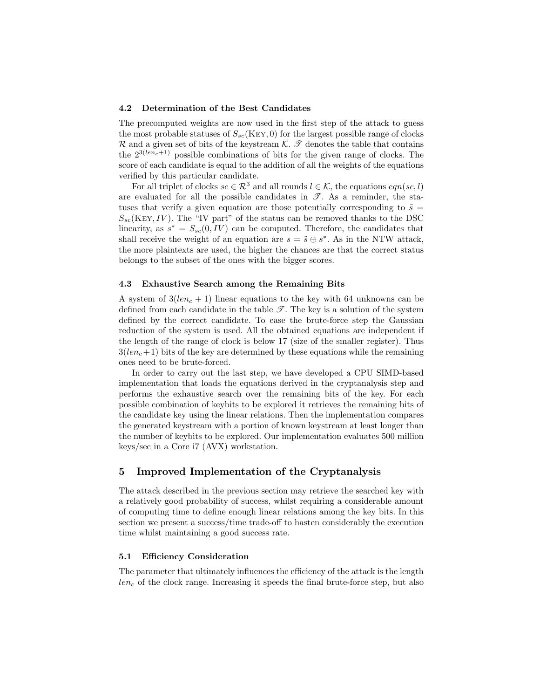#### <span id="page-9-1"></span>4.2 Determination of the Best Candidates

The precomputed weights are now used in the first step of the attack to guess the most probable statuses of  $S_{sc}$ (KEY, 0) for the largest possible range of clocks  $\mathcal R$  and a given set of bits of the keystream  $\mathcal K$ .  $\mathcal T$  denotes the table that contains the  $2^{3(len_c+1)}$  possible combinations of bits for the given range of clocks. The score of each candidate is equal to the addition of all the weights of the equations verified by this particular candidate.

For all triplet of clocks  $sc \in \mathcal{R}^3$  and all rounds  $l \in \mathcal{K}$ , the equations  $eqn(sc, l)$ are evaluated for all the possible candidates in  $\mathscr{T}$ . As a reminder, the statuses that verify a given equation are those potentially corresponding to  $\tilde{s} =$  $S_{sc}$ (KEY, IV). The "IV part" of the status can be removed thanks to the DSC linearity, as  $s^* = S_{sc}(0, IV)$  can be computed. Therefore, the candidates that shall receive the weight of an equation are  $s = \tilde{s} \oplus s^*$ . As in the NTW attack, the more plaintexts are used, the higher the chances are that the correct status belongs to the subset of the ones with the bigger scores.

#### 4.3 Exhaustive Search among the Remaining Bits

A system of  $3(len_c + 1)$  linear equations to the key with 64 unknowns can be defined from each candidate in the table  $\mathscr{T}$ . The key is a solution of the system defined by the correct candidate. To ease the brute-force step the Gaussian reduction of the system is used. All the obtained equations are independent if the length of the range of clock is below 17 (size of the smaller register). Thus  $3(len_c+1)$  bits of the key are determined by these equations while the remaining ones need to be brute-forced.

In order to carry out the last step, we have developed a CPU SIMD-based implementation that loads the equations derived in the cryptanalysis step and performs the exhaustive search over the remaining bits of the key. For each possible combination of keybits to be explored it retrieves the remaining bits of the candidate key using the linear relations. Then the implementation compares the generated keystream with a portion of known keystream at least longer than the number of keybits to be explored. Our implementation evaluates 500 million keys/sec in a Core i7 (AVX) workstation.

# <span id="page-9-0"></span>5 Improved Implementation of the Cryptanalysis

The attack described in the previous section may retrieve the searched key with a relatively good probability of success, whilst requiring a considerable amount of computing time to define enough linear relations among the key bits. In this section we present a success/time trade-off to hasten considerably the execution time whilst maintaining a good success rate.

#### 5.1 Efficiency Consideration

The parameter that ultimately influences the efficiency of the attack is the length  $len_c$  of the clock range. Increasing it speeds the final brute-force step, but also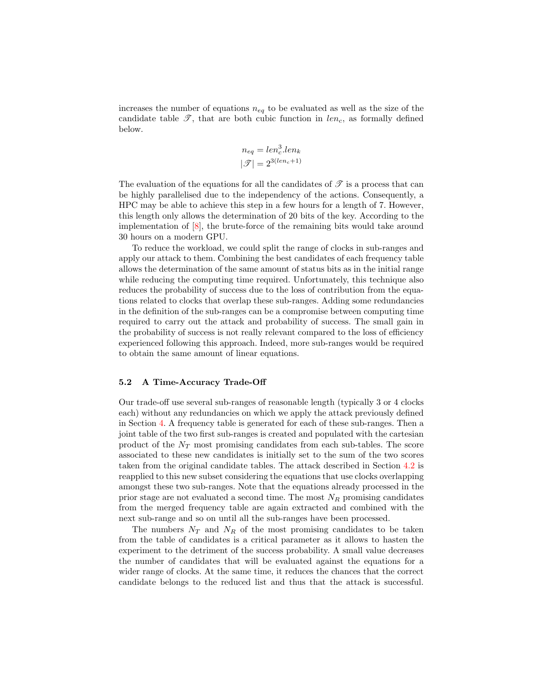increases the number of equations  $n_{eq}$  to be evaluated as well as the size of the candidate table  $\mathscr{T}$ , that are both cubic function in  $len_c$ , as formally defined below.

$$
n_{eq} = len_c^3.length_k
$$

$$
|\mathcal{F}| = 2^{3(len_c+1)}
$$

The evaluation of the equations for all the candidates of  $\mathscr T$  is a process that can be highly parallelised due to the independency of the actions. Consequently, a HPC may be able to achieve this step in a few hours for a length of 7. However, this length only allows the determination of 20 bits of the key. According to the implementation of [\[8\]](#page-18-0), the brute-force of the remaining bits would take around 30 hours on a modern GPU.

To reduce the workload, we could split the range of clocks in sub-ranges and apply our attack to them. Combining the best candidates of each frequency table allows the determination of the same amount of status bits as in the initial range while reducing the computing time required. Unfortunately, this technique also reduces the probability of success due to the loss of contribution from the equations related to clocks that overlap these sub-ranges. Adding some redundancies in the definition of the sub-ranges can be a compromise between computing time required to carry out the attack and probability of success. The small gain in the probability of success is not really relevant compared to the loss of efficiency experienced following this approach. Indeed, more sub-ranges would be required to obtain the same amount of linear equations.

#### 5.2 A Time-Accuracy Trade-Off

Our trade-off use several sub-ranges of reasonable length (typically 3 or 4 clocks each) without any redundancies on which we apply the attack previously defined in Section [4.](#page-7-0) A frequency table is generated for each of these sub-ranges. Then a joint table of the two first sub-ranges is created and populated with the cartesian product of the  $N_T$  most promising candidates from each sub-tables. The score associated to these new candidates is initially set to the sum of the two scores taken from the original candidate tables. The attack described in Section [4.2](#page-9-1) is reapplied to this new subset considering the equations that use clocks overlapping amongst these two sub-ranges. Note that the equations already processed in the prior stage are not evaluated a second time. The most  $N_R$  promising candidates from the merged frequency table are again extracted and combined with the next sub-range and so on until all the sub-ranges have been processed.

The numbers  $N_T$  and  $N_R$  of the most promising candidates to be taken from the table of candidates is a critical parameter as it allows to hasten the experiment to the detriment of the success probability. A small value decreases the number of candidates that will be evaluated against the equations for a wider range of clocks. At the same time, it reduces the chances that the correct candidate belongs to the reduced list and thus that the attack is successful.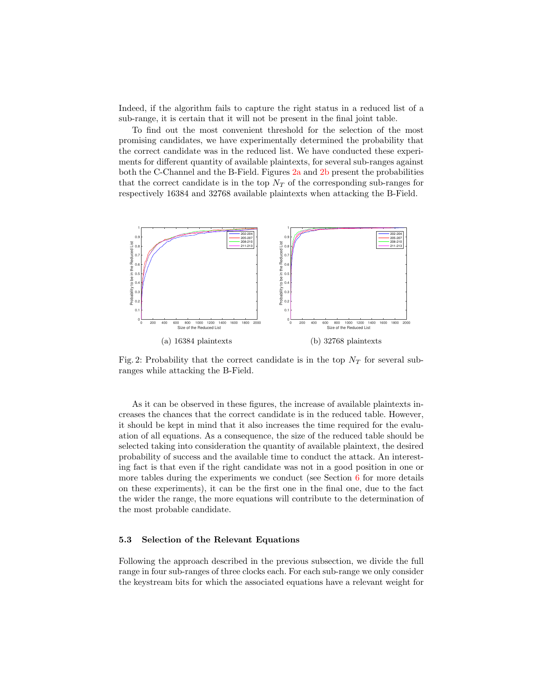Indeed, if the algorithm fails to capture the right status in a reduced list of a sub-range, it is certain that it will not be present in the final joint table.

To find out the most convenient threshold for the selection of the most promising candidates, we have experimentally determined the probability that the correct candidate was in the reduced list. We have conducted these experiments for different quantity of available plaintexts, for several sub-ranges against both the C-Channel and the B-Field. Figures [2a](#page-11-0) and [2b](#page-11-0) present the probabilities that the correct candidate is in the top  $N<sub>T</sub>$  of the corresponding sub-ranges for respectively 16384 and 32768 available plaintexts when attacking the B-Field.

<span id="page-11-0"></span>

Fig. 2: Probability that the correct candidate is in the top  $N_T$  for several subranges while attacking the B-Field.

As it can be observed in these figures, the increase of available plaintexts increases the chances that the correct candidate is in the reduced table. However, it should be kept in mind that it also increases the time required for the evaluation of all equations. As a consequence, the size of the reduced table should be selected taking into consideration the quantity of available plaintext, the desired probability of success and the available time to conduct the attack. An interesting fact is that even if the right candidate was not in a good position in one or more tables during the experiments we conduct (see Section [6](#page-12-0) for more details on these experiments), it can be the first one in the final one, due to the fact the wider the range, the more equations will contribute to the determination of the most probable candidate.

#### 5.3 Selection of the Relevant Equations

Following the approach described in the previous subsection, we divide the full range in four sub-ranges of three clocks each. For each sub-range we only consider the keystream bits for which the associated equations have a relevant weight for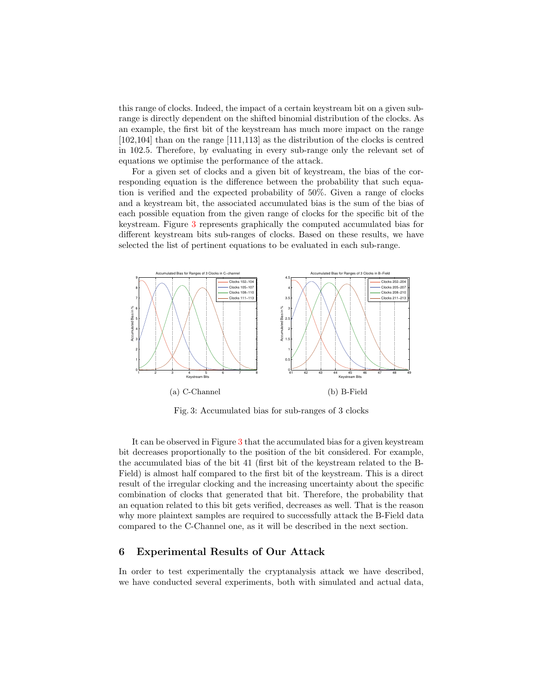this range of clocks. Indeed, the impact of a certain keystream bit on a given subrange is directly dependent on the shifted binomial distribution of the clocks. As an example, the first bit of the keystream has much more impact on the range [102,104] than on the range [111,113] as the distribution of the clocks is centred in 102.5. Therefore, by evaluating in every sub-range only the relevant set of equations we optimise the performance of the attack.

For a given set of clocks and a given bit of keystream, the bias of the corresponding equation is the difference between the probability that such equation is verified and the expected probability of 50%. Given a range of clocks and a keystream bit, the associated accumulated bias is the sum of the bias of each possible equation from the given range of clocks for the specific bit of the keystream. Figure [3](#page-12-1) represents graphically the computed accumulated bias for different keystream bits sub-ranges of clocks. Based on these results, we have selected the list of pertinent equations to be evaluated in each sub-range.

<span id="page-12-1"></span>

Fig. 3: Accumulated bias for sub-ranges of 3 clocks

It can be observed in Figure [3](#page-12-1) that the accumulated bias for a given keystream bit decreases proportionally to the position of the bit considered. For example, the accumulated bias of the bit 41 (first bit of the keystream related to the B-Field) is almost half compared to the first bit of the keystream. This is a direct result of the irregular clocking and the increasing uncertainty about the specific combination of clocks that generated that bit. Therefore, the probability that an equation related to this bit gets verified, decreases as well. That is the reason why more plaintext samples are required to successfully attack the B-Field data compared to the C-Channel one, as it will be described in the next section.

# <span id="page-12-0"></span>6 Experimental Results of Our Attack

In order to test experimentally the cryptanalysis attack we have described, we have conducted several experiments, both with simulated and actual data,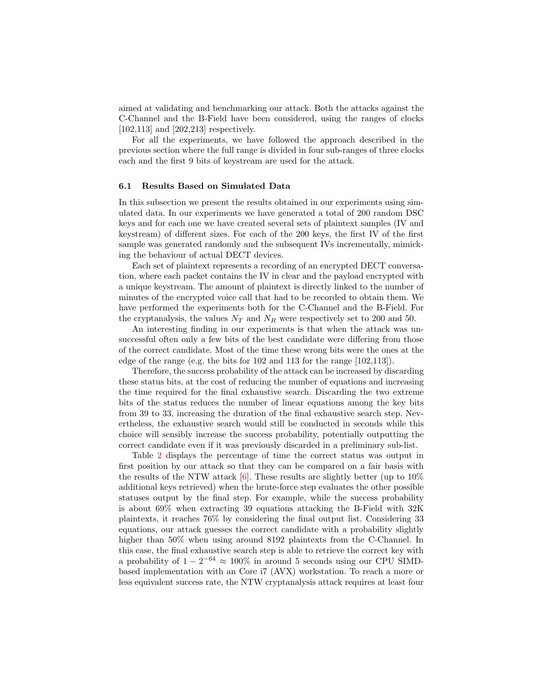aimed at validating and benchmarking our attack. Both the attacks against the C-Channel and the B-Field have been considered, using the ranges of clocks [102,113] and [202,213] respectively.

For all the experiments, we have followed the approach described in the previous section where the full range is divided in four sub-ranges of three clocks each and the first 9 bits of keystream are used for the attack.

#### 6.1 Results Based on Simulated Data

In this subsection we present the results obtained in our experiments using simulated data. In our experiments we have generated a total of 200 random DSC keys and for each one we have created several sets of plaintext samples (IV and keystream) of different sizes. For each of the 200 keys, the first IV of the first sample was generated randomly and the subsequent IVs incrementally, mimicking the behaviour of actual DECT devices.

Each set of plaintext represents a recording of an encrypted DECT conversation, where each packet contains the IV in clear and the payload encrypted with a unique keystream. The amount of plaintext is directly linked to the number of minutes of the encrypted voice call that had to be recorded to obtain them. We have performed the experiments both for the C-Channel and the B-Field. For the cryptanalysis, the values  $N_T$  and  $N_R$  were respectively set to 200 and 50.

An interesting finding in our experiments is that when the attack was unsuccessful often only a few bits of the best candidate were differing from those of the correct candidate. Most of the time these wrong bits were the ones at the edge of the range (e.g. the bits for  $102$  and  $113$  for the range  $[102,113]$ ).

Therefore, the success probability of the attack can be increased by discarding these status bits, at the cost of reducing the number of equations and increasing the time required for the final exhaustive search. Discarding the two extreme bits of the status reduces the number of linear equations among the key bits from 39 to 33, increasing the duration of the final exhaustive search step. Nevertheless, the exhaustive search would still be conducted in seconds while this choice will sensibly increase the success probability, potentially outputting the correct candidate even if it was previously discarded in a preliminary sub-list.

Table [2](#page-14-0) displays the percentage of time the correct status was output in first position by our attack so that they can be compared on a fair basis with the results of the NTW attack  $[6]$ . These results are slightly better (up to 10%) additional keys retrieved) when the brute-force step evaluates the other possible statuses output by the final step. For example, while the success probability is about 69% when extracting 39 equations attacking the B-Field with 32K plaintexts, it reaches 76% by considering the final output list. Considering 33 equations, our attack guesses the correct candidate with a probability slightly higher than 50% when using around 8192 plaintexts from the C-Channel. In this case, the final exhaustive search step is able to retrieve the correct key with a probability of  $1 - 2^{-64} \approx 100\%$  in around 5 seconds using our CPU SIMDbased implementation with an Core i7 (AVX) workstation. To reach a more or less equivalent success rate, the NTW cryptanalysis attack requires at least four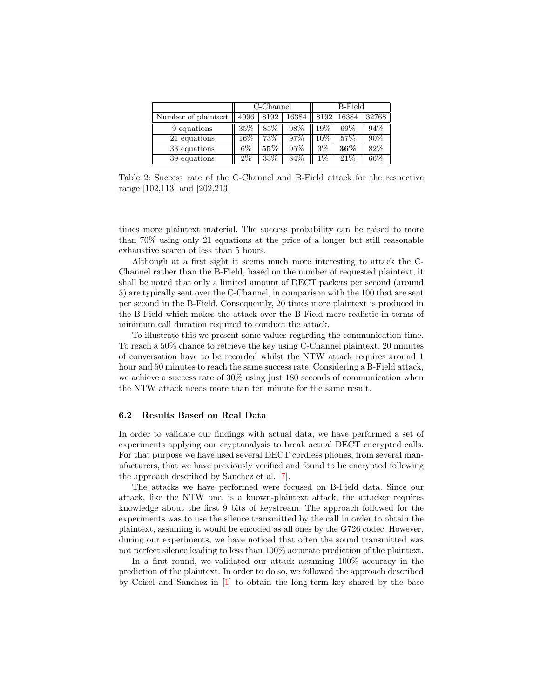<span id="page-14-0"></span>

|                     |        | C-Channel |       | B-Field |        |       |  |
|---------------------|--------|-----------|-------|---------|--------|-------|--|
| Number of plaintext | 4096   | 8192      | 16384 | 8192    | 16384  | 32768 |  |
| 9 equations         | 35%    | 85%       | 98%   | 19%     | 69%    | 94\%  |  |
| 21 equations        | $16\%$ | 73%       | 97%   | 10%     | 57%    | 90%   |  |
| 33 equations        | $6\%$  | 55%       | 95%   | $3\%$   | $36\%$ | 82\%  |  |
| 39 equations        | $2\%$  | 33%       | 84\%  | $1\%$   | 21%    | 66\%  |  |

Table 2: Success rate of the C-Channel and B-Field attack for the respective range [102,113] and [202,213]

times more plaintext material. The success probability can be raised to more than 70% using only 21 equations at the price of a longer but still reasonable exhaustive search of less than 5 hours.

Although at a first sight it seems much more interesting to attack the C-Channel rather than the B-Field, based on the number of requested plaintext, it shall be noted that only a limited amount of DECT packets per second (around 5) are typically sent over the C-Channel, in comparison with the 100 that are sent per second in the B-Field. Consequently, 20 times more plaintext is produced in the B-Field which makes the attack over the B-Field more realistic in terms of minimum call duration required to conduct the attack.

To illustrate this we present some values regarding the communication time. To reach a 50% chance to retrieve the key using C-Channel plaintext, 20 minutes of conversation have to be recorded whilst the NTW attack requires around 1 hour and 50 minutes to reach the same success rate. Considering a B-Field attack, we achieve a success rate of 30% using just 180 seconds of communication when the NTW attack needs more than ten minute for the same result.

### 6.2 Results Based on Real Data

In order to validate our findings with actual data, we have performed a set of experiments applying our cryptanalysis to break actual DECT encrypted calls. For that purpose we have used several DECT cordless phones, from several manufacturers, that we have previously verified and found to be encrypted following the approach described by Sanchez et al. [\[7\]](#page-17-1).

The attacks we have performed were focused on B-Field data. Since our attack, like the NTW one, is a known-plaintext attack, the attacker requires knowledge about the first 9 bits of keystream. The approach followed for the experiments was to use the silence transmitted by the call in order to obtain the plaintext, assuming it would be encoded as all ones by the G726 codec. However, during our experiments, we have noticed that often the sound transmitted was not perfect silence leading to less than 100% accurate prediction of the plaintext.

In a first round, we validated our attack assuming 100% accuracy in the prediction of the plaintext. In order to do so, we followed the approach described by Coisel and Sanchez in [\[1\]](#page-17-4) to obtain the long-term key shared by the base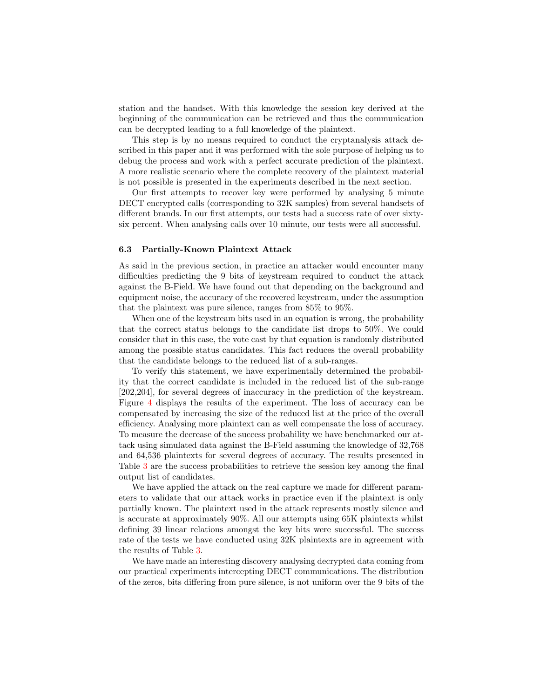station and the handset. With this knowledge the session key derived at the beginning of the communication can be retrieved and thus the communication can be decrypted leading to a full knowledge of the plaintext.

This step is by no means required to conduct the cryptanalysis attack described in this paper and it was performed with the sole purpose of helping us to debug the process and work with a perfect accurate prediction of the plaintext. A more realistic scenario where the complete recovery of the plaintext material is not possible is presented in the experiments described in the next section.

Our first attempts to recover key were performed by analysing 5 minute DECT encrypted calls (corresponding to 32K samples) from several handsets of different brands. In our first attempts, our tests had a success rate of over sixtysix percent. When analysing calls over 10 minute, our tests were all successful.

#### 6.3 Partially-Known Plaintext Attack

As said in the previous section, in practice an attacker would encounter many difficulties predicting the 9 bits of keystream required to conduct the attack against the B-Field. We have found out that depending on the background and equipment noise, the accuracy of the recovered keystream, under the assumption that the plaintext was pure silence, ranges from 85% to 95%.

When one of the keystream bits used in an equation is wrong, the probability that the correct status belongs to the candidate list drops to 50%. We could consider that in this case, the vote cast by that equation is randomly distributed among the possible status candidates. This fact reduces the overall probability that the candidate belongs to the reduced list of a sub-ranges.

To verify this statement, we have experimentally determined the probability that the correct candidate is included in the reduced list of the sub-range [202,204], for several degrees of inaccuracy in the prediction of the keystream. Figure [4](#page-16-1) displays the results of the experiment. The loss of accuracy can be compensated by increasing the size of the reduced list at the price of the overall efficiency. Analysing more plaintext can as well compensate the loss of accuracy. To measure the decrease of the success probability we have benchmarked our attack using simulated data against the B-Field assuming the knowledge of 32,768 and 64,536 plaintexts for several degrees of accuracy. The results presented in Table [3](#page-16-2) are the success probabilities to retrieve the session key among the final output list of candidates.

We have applied the attack on the real capture we made for different parameters to validate that our attack works in practice even if the plaintext is only partially known. The plaintext used in the attack represents mostly silence and is accurate at approximately 90%. All our attempts using 65K plaintexts whilst defining 39 linear relations amongst the key bits were successful. The success rate of the tests we have conducted using 32K plaintexts are in agreement with the results of Table [3.](#page-16-2)

We have made an interesting discovery analysing decrypted data coming from our practical experiments intercepting DECT communications. The distribution of the zeros, bits differing from pure silence, is not uniform over the 9 bits of the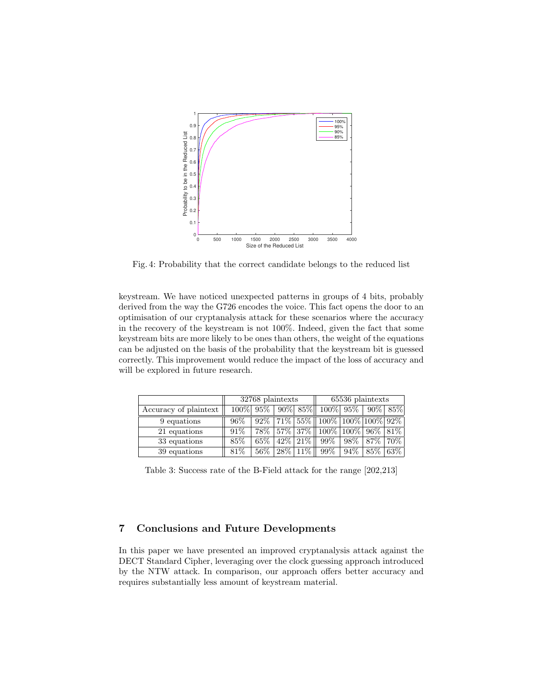<span id="page-16-1"></span>

Fig. 4: Probability that the correct candidate belongs to the reduced list

keystream. We have noticed unexpected patterns in groups of 4 bits, probably derived from the way the G726 encodes the voice. This fact opens the door to an optimisation of our cryptanalysis attack for these scenarios where the accuracy in the recovery of the keystream is not 100%. Indeed, given the fact that some keystream bits are more likely to be ones than others, the weight of the equations can be adjusted on the basis of the probability that the keystream bit is guessed correctly. This improvement would reduce the impact of the loss of accuracy and will be explored in future research.

<span id="page-16-2"></span>

|                       | 32768 plaintexts |                |              |  | 65536 plaintexts                                                 |        |      |      |
|-----------------------|------------------|----------------|--------------|--|------------------------------------------------------------------|--------|------|------|
| Accuracy of plaintext |                  | $100\%$   95\% |              |  | $\sqrt{90\%}$ 85% 100% 95% 90% 85%                               |        |      |      |
| 9 equations           | 96%              |                |              |  | $92\%$   $71\%$   $55\%$    $100\%$   $100\%$   $100\%$   $92\%$ |        |      |      |
| 21 equations          | 91%              |                |              |  | 78% 57% 37% 100% 100% 96% 81%                                    |        |      |      |
| 33 equations          | 85%              | 65%            | $42\%$ 21\%  |  | $99\%$                                                           | $98\%$ | 87\% | 70\% |
| 39 equations          | 81\%             | $56\%$         | $ 28\% 11\%$ |  | 99%                                                              | 94%    | 85\% | 63\% |

Table 3: Success rate of the B-Field attack for the range [202,213]

# <span id="page-16-0"></span>7 Conclusions and Future Developments

In this paper we have presented an improved cryptanalysis attack against the DECT Standard Cipher, leveraging over the clock guessing approach introduced by the NTW attack. In comparison, our approach offers better accuracy and requires substantially less amount of keystream material.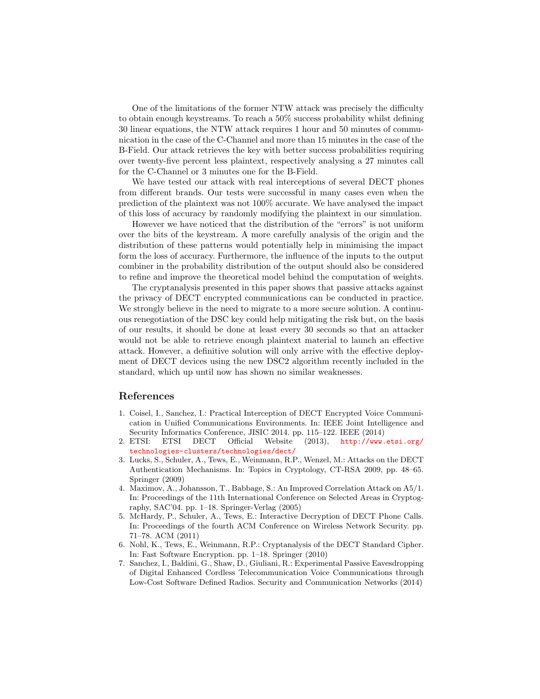One of the limitations of the former NTW attack was precisely the difficulty to obtain enough keystreams. To reach a 50% success probability whilst defining 30 linear equations, the NTW attack requires 1 hour and 50 minutes of communication in the case of the C-Channel and more than 15 minutes in the case of the B-Field. Our attack retrieves the key with better success probabilities requiring over twenty-five percent less plaintext, respectively analysing a 27 minutes call for the C-Channel or 3 minutes one for the B-Field.

We have tested our attack with real interceptions of several DECT phones from different brands. Our tests were successful in many cases even when the prediction of the plaintext was not 100% accurate. We have analysed the impact of this loss of accuracy by randomly modifying the plaintext in our simulation.

However we have noticed that the distribution of the "errors" is not uniform over the bits of the keystream. A more carefully analysis of the origin and the distribution of these patterns would potentially help in minimising the impact form the loss of accuracy. Furthermore, the influence of the inputs to the output combiner in the probability distribution of the output should also be considered to refine and improve the theoretical model behind the computation of weights.

The cryptanalysis presented in this paper shows that passive attacks against the privacy of DECT encrypted communications can be conducted in practice. We strongly believe in the need to migrate to a more secure solution. A continuous renegotiation of the DSC key could help mitigating the risk but, on the basis of our results, it should be done at least every 30 seconds so that an attacker would not be able to retrieve enough plaintext material to launch an effective attack. However, a definitive solution will only arrive with the effective deployment of DECT devices using the new DSC2 algorithm recently included in the standard, which up until now has shown no similar weaknesses.

# References

- <span id="page-17-4"></span>1. Coisel, I., Sanchez, I.: Practical Interception of DECT Encrypted Voice Communication in Unified Communications Environments. In: IEEE Joint Intelligence and Security Informatics Conference, JISIC 2014. pp. 115–122. IEEE (2014)<br>ETSI: ETSI DECT Official Website (2013), http://www.
- <span id="page-17-5"></span>2. ETSI: ETSI DECT Official Website (2013), [http://www.etsi.org/](http://www.etsi.org/technologies-clusters/technologies/dect/) [technologies-clusters/technologies/dect/](http://www.etsi.org/technologies-clusters/technologies/dect/)
- <span id="page-17-0"></span>3. Lucks, S., Schuler, A., Tews, E., Weinmann, R.P., Wenzel, M.: Attacks on the DECT Authentication Mechanisms. In: Topics in Cryptology, CT-RSA 2009, pp. 48–65. Springer (2009)
- <span id="page-17-6"></span>4. Maximov, A., Johansson, T., Babbage, S.: An Improved Correlation Attack on A5/1. In: Proceedings of the 11th International Conference on Selected Areas in Cryptography, SAC'04. pp. 1–18. Springer-Verlag (2005)
- <span id="page-17-3"></span>5. McHardy, P., Schuler, A., Tews, E.: Interactive Decryption of DECT Phone Calls. In: Proceedings of the fourth ACM Conference on Wireless Network Security. pp. 71–78. ACM (2011)
- <span id="page-17-2"></span>6. Nohl, K., Tews, E., Weinmann, R.P.: Cryptanalysis of the DECT Standard Cipher. In: Fast Software Encryption. pp. 1–18. Springer (2010)
- <span id="page-17-1"></span>7. Sanchez, I., Baldini, G., Shaw, D., Giuliani, R.: Experimental Passive Eavesdropping of Digital Enhanced Cordless Telecommunication Voice Communications through Low-Cost Software Defined Radios. Security and Communication Networks (2014)